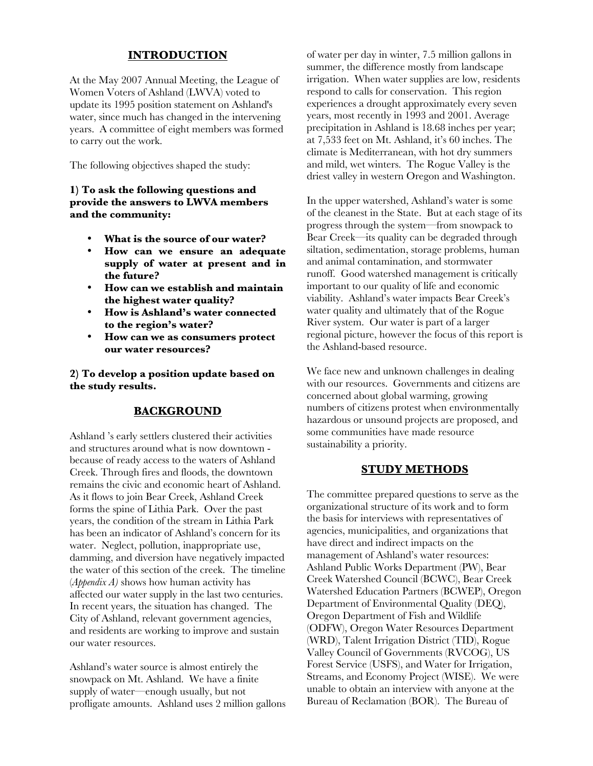## **INTRODUCTION**

At the May 2007 Annual Meeting, the League of Women Voters of Ashland (LWVA) voted to update its 1995 position statement on Ashland's water, since much has changed in the intervening years. A committee of eight members was formed to carry out the work.

The following objectives shaped the study:

#### **1) To ask the following questions and provide the answers to LWVA members and the community:**

- **What is the source of our water?**
- **How can we ensure an adequate supply of water at present and in the future?**
- **How can we establish and maintain the highest water quality?**
- **How is Ashland's water connected to the region's water?**
- **How can we as consumers protect our water resources?**

**2) To develop a position update based on the study results.** 

### **BACKGROUND**

Ashland 's early settlers clustered their activities and structures around what is now downtown because of ready access to the waters of Ashland Creek. Through fires and floods, the downtown remains the civic and economic heart of Ashland. As it flows to join Bear Creek, Ashland Creek forms the spine of Lithia Park. Over the past years, the condition of the stream in Lithia Park has been an indicator of Ashland's concern for its water. Neglect, pollution, inappropriate use, damming, and diversion have negatively impacted the water of this section of the creek. The timeline (*Appendix A)* shows how human activity has affected our water supply in the last two centuries. In recent years, the situation has changed. The City of Ashland, relevant government agencies, and residents are working to improve and sustain our water resources.

Ashland's water source is almost entirely the snowpack on Mt. Ashland. We have a finite supply of water—enough usually, but not profligate amounts. Ashland uses 2 million gallons of water per day in winter, 7.5 million gallons in summer, the difference mostly from landscape irrigation. When water supplies are low, residents respond to calls for conservation. This region experiences a drought approximately every seven years, most recently in 1993 and 2001. Average precipitation in Ashland is 18.68 inches per year; at 7,533 feet on Mt. Ashland, it's 60 inches. The climate is Mediterranean, with hot dry summers and mild, wet winters. The Rogue Valley is the driest valley in western Oregon and Washington.

In the upper watershed, Ashland's water is some of the cleanest in the State. But at each stage of its progress through the system—from snowpack to Bear Creek—its quality can be degraded through siltation, sedimentation, storage problems, human and animal contamination, and stormwater runoff. Good watershed management is critically important to our quality of life and economic viability. Ashland's water impacts Bear Creek's water quality and ultimately that of the Rogue River system. Our water is part of a larger regional picture, however the focus of this report is the Ashland-based resource.

We face new and unknown challenges in dealing with our resources. Governments and citizens are concerned about global warming, growing numbers of citizens protest when environmentally hazardous or unsound projects are proposed, and some communities have made resource sustainability a priority.

### **STUDY METHODS**

The committee prepared questions to serve as the organizational structure of its work and to form the basis for interviews with representatives of agencies, municipalities, and organizations that have direct and indirect impacts on the management of Ashland's water resources: Ashland Public Works Department (PW), Bear Creek Watershed Council (BCWC), Bear Creek Watershed Education Partners (BCWEP), Oregon Department of Environmental Quality (DEQ), Oregon Department of Fish and Wildlife (ODFW), Oregon Water Resources Department (WRD), Talent Irrigation District (TID), Rogue Valley Council of Governments (RVCOG), US Forest Service (USFS), and Water for Irrigation, Streams, and Economy Project (WISE). We were unable to obtain an interview with anyone at the Bureau of Reclamation (BOR). The Bureau of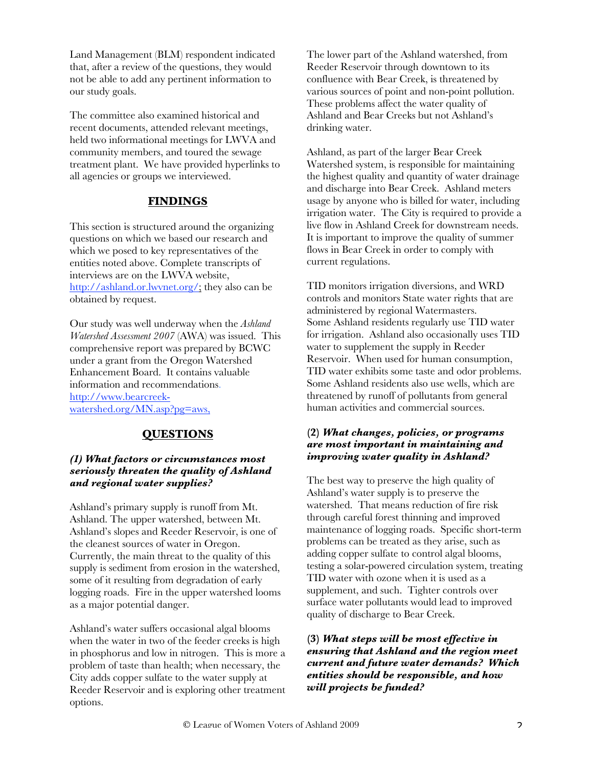Land Management (BLM) respondent indicated that, after a review of the questions, they would not be able to add any pertinent information to our study goals.

The committee also examined historical and recent documents, attended relevant meetings, held two informational meetings for LWVA and community members, and toured the sewage treatment plant. We have provided hyperlinks to all agencies or groups we interviewed.

## **FINDINGS**

This section is structured around the organizing questions on which we based our research and which we posed to key representatives of the entities noted above. Complete transcripts of interviews are on the LWVA website, http://ashland.or.lwvnet.org/; they also can be obtained by request.

Our study was well underway when the *Ashland Watershed Assessment 2007* (AWA) was issued. This comprehensive report was prepared by BCWC under a grant from the Oregon Watershed Enhancement Board. It contains valuable information and recommendations. http://www.bearcreekwatershed.org/MN.asp?pg=aws,

# **QUESTIONS**

### *(1) What factors or circumstances most seriously threaten the quality of Ashland and regional water supplies?*

Ashland's primary supply is runoff from Mt. Ashland. The upper watershed, between Mt. Ashland's slopes and Reeder Reservoir, is one of the cleanest sources of water in Oregon. Currently, the main threat to the quality of this supply is sediment from erosion in the watershed, some of it resulting from degradation of early logging roads. Fire in the upper watershed looms as a major potential danger.

Ashland's water suffers occasional algal blooms when the water in two of the feeder creeks is high in phosphorus and low in nitrogen. This is more a problem of taste than health; when necessary, the City adds copper sulfate to the water supply at Reeder Reservoir and is exploring other treatment options.

The lower part of the Ashland watershed, from Reeder Reservoir through downtown to its confluence with Bear Creek, is threatened by various sources of point and non-point pollution. These problems affect the water quality of Ashland and Bear Creeks but not Ashland's drinking water.

Ashland, as part of the larger Bear Creek Watershed system, is responsible for maintaining the highest quality and quantity of water drainage and discharge into Bear Creek. Ashland meters usage by anyone who is billed for water, including irrigation water. The City is required to provide a live flow in Ashland Creek for downstream needs. It is important to improve the quality of summer flows in Bear Creek in order to comply with current regulations.

TID monitors irrigation diversions, and WRD controls and monitors State water rights that are administered by regional Watermasters. Some Ashland residents regularly use TID water for irrigation. Ashland also occasionally uses TID water to supplement the supply in Reeder Reservoir. When used for human consumption, TID water exhibits some taste and odor problems. Some Ashland residents also use wells, which are threatened by runoff of pollutants from general human activities and commercial sources.

### **(2)** *What changes, policies, or programs are most important in maintaining and improving water quality in Ashland?*

The best way to preserve the high quality of Ashland's water supply is to preserve the watershed. That means reduction of fire risk through careful forest thinning and improved maintenance of logging roads. Specific short-term problems can be treated as they arise, such as adding copper sulfate to control algal blooms, testing a solar-powered circulation system, treating TID water with ozone when it is used as a supplement, and such. Tighter controls over surface water pollutants would lead to improved quality of discharge to Bear Creek.

**(3)** *What steps will be most effective in ensuring that Ashland and the region meet current and future water demands? Which entities should be responsible, and how will projects be funded?*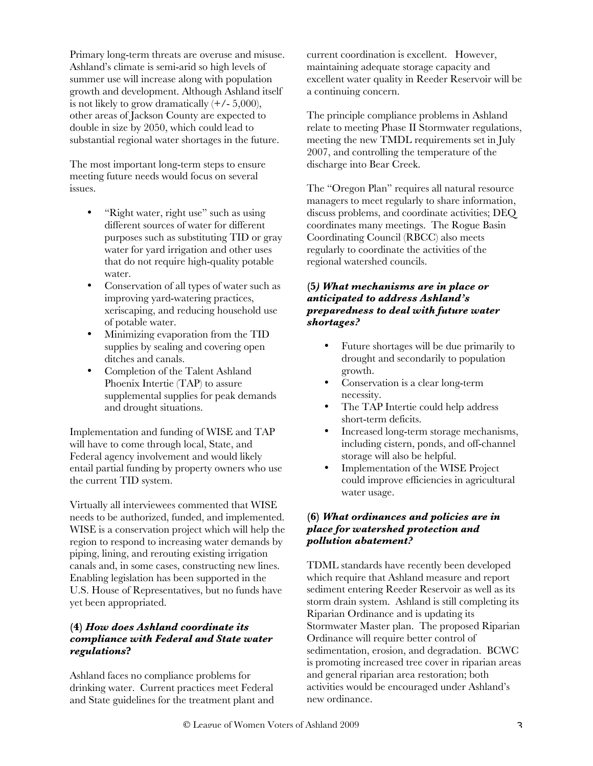Primary long-term threats are overuse and misuse. Ashland's climate is semi-arid so high levels of summer use will increase along with population growth and development. Although Ashland itself is not likely to grow dramatically  $(+/- 5,000)$ , other areas of Jackson County are expected to double in size by 2050, which could lead to substantial regional water shortages in the future.

The most important long-term steps to ensure meeting future needs would focus on several issues.

- "Right water, right use" such as using different sources of water for different purposes such as substituting TID or gray water for yard irrigation and other uses that do not require high-quality potable water.
- Conservation of all types of water such as improving yard-watering practices, xeriscaping, and reducing household use of potable water.
- Minimizing evaporation from the TID supplies by sealing and covering open ditches and canals.
- Completion of the Talent Ashland Phoenix Intertie (TAP) to assure supplemental supplies for peak demands and drought situations.

Implementation and funding of WISE and TAP will have to come through local, State, and Federal agency involvement and would likely entail partial funding by property owners who use the current TID system.

Virtually all interviewees commented that WISE needs to be authorized, funded, and implemented. WISE is a conservation project which will help the region to respond to increasing water demands by piping, lining, and rerouting existing irrigation canals and, in some cases, constructing new lines. Enabling legislation has been supported in the U.S. House of Representatives, but no funds have yet been appropriated.

### **(4)** *How does Ashland coordinate its compliance with Federal and State water regulations***?**

Ashland faces no compliance problems for drinking water. Current practices meet Federal and State guidelines for the treatment plant and current coordination is excellent. However, maintaining adequate storage capacity and excellent water quality in Reeder Reservoir will be a continuing concern.

The principle compliance problems in Ashland relate to meeting Phase II Stormwater regulations, meeting the new TMDL requirements set in July 2007, and controlling the temperature of the discharge into Bear Creek.

The "Oregon Plan" requires all natural resource managers to meet regularly to share information, discuss problems, and coordinate activities; DEQ coordinates many meetings. The Rogue Basin Coordinating Council (RBCC) also meets regularly to coordinate the activities of the regional watershed councils.

### **(5***) What mechanisms are in place or anticipated to address Ashland's preparedness to deal with future water shortages?*

- Future shortages will be due primarily to drought and secondarily to population growth.
- Conservation is a clear long-term necessity.
- The TAP Intertie could help address short-term deficits.
- Increased long-term storage mechanisms, including cistern, ponds, and off-channel storage will also be helpful.
- Implementation of the WISE Project could improve efficiencies in agricultural water usage.

### **(6)** *What ordinances and policies are in place for watershed protection and pollution abatement?*

TDML standards have recently been developed which require that Ashland measure and report sediment entering Reeder Reservoir as well as its storm drain system. Ashland is still completing its Riparian Ordinance and is updating its Stormwater Master plan. The proposed Riparian Ordinance will require better control of sedimentation, erosion, and degradation. BCWC is promoting increased tree cover in riparian areas and general riparian area restoration; both activities would be encouraged under Ashland's new ordinance.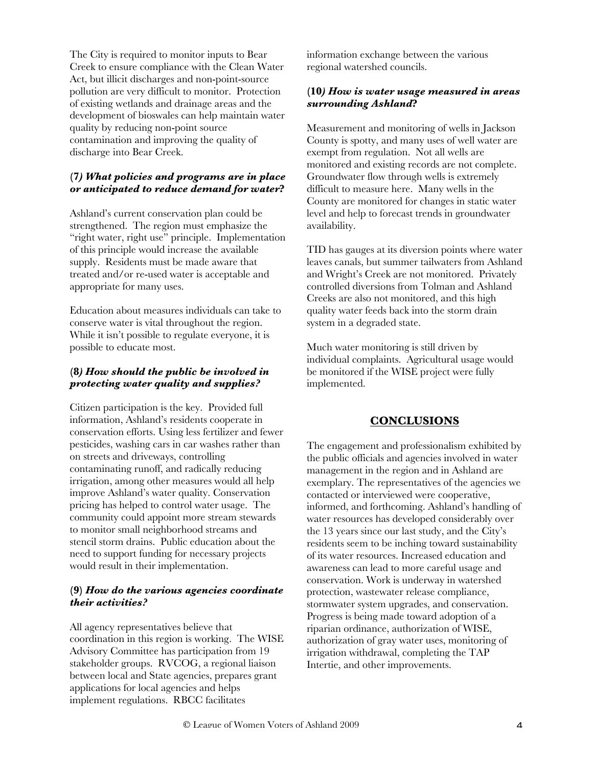The City is required to monitor inputs to Bear Creek to ensure compliance with the Clean Water Act, but illicit discharges and non-point-source pollution are very difficult to monitor. Protection of existing wetlands and drainage areas and the development of bioswales can help maintain water quality by reducing non-point source contamination and improving the quality of discharge into Bear Creek.

## **(7***) What policies and programs are in place or anticipated to reduce demand for water***?**

Ashland's current conservation plan could be strengthened. The region must emphasize the "right water, right use" principle. Implementation of this principle would increase the available supply. Residents must be made aware that treated and/or re-used water is acceptable and appropriate for many uses.

Education about measures individuals can take to conserve water is vital throughout the region. While it isn't possible to regulate everyone, it is possible to educate most.

## **(8***) How should the public be involved in protecting water quality and supplies?*

Citizen participation is the key. Provided full information, Ashland's residents cooperate in conservation efforts. Using less fertilizer and fewer pesticides, washing cars in car washes rather than on streets and driveways, controlling contaminating runoff, and radically reducing irrigation, among other measures would all help improve Ashland's water quality. Conservation pricing has helped to control water usage. The community could appoint more stream stewards to monitor small neighborhood streams and stencil storm drains. Public education about the need to support funding for necessary projects would result in their implementation.

### **(9)** *How do the various agencies coordinate their activities?*

All agency representatives believe that coordination in this region is working. The WISE Advisory Committee has participation from 19 stakeholder groups. RVCOG, a regional liaison between local and State agencies, prepares grant applications for local agencies and helps implement regulations. RBCC facilitates

information exchange between the various regional watershed councils.

### **(10***) How is water usage measured in areas surrounding Ashland***?**

Measurement and monitoring of wells in Jackson County is spotty, and many uses of well water are exempt from regulation. Not all wells are monitored and existing records are not complete. Groundwater flow through wells is extremely difficult to measure here. Many wells in the County are monitored for changes in static water level and help to forecast trends in groundwater availability.

TID has gauges at its diversion points where water leaves canals, but summer tailwaters from Ashland and Wright's Creek are not monitored. Privately controlled diversions from Tolman and Ashland Creeks are also not monitored, and this high quality water feeds back into the storm drain system in a degraded state.

Much water monitoring is still driven by individual complaints. Agricultural usage would be monitored if the WISE project were fully implemented.

### **CONCLUSIONS**

The engagement and professionalism exhibited by the public officials and agencies involved in water management in the region and in Ashland are exemplary. The representatives of the agencies we contacted or interviewed were cooperative, informed, and forthcoming. Ashland's handling of water resources has developed considerably over the 13 years since our last study, and the City's residents seem to be inching toward sustainability of its water resources. Increased education and awareness can lead to more careful usage and conservation. Work is underway in watershed protection, wastewater release compliance, stormwater system upgrades, and conservation. Progress is being made toward adoption of a riparian ordinance, authorization of WISE, authorization of gray water uses, monitoring of irrigation withdrawal, completing the TAP Intertie, and other improvements.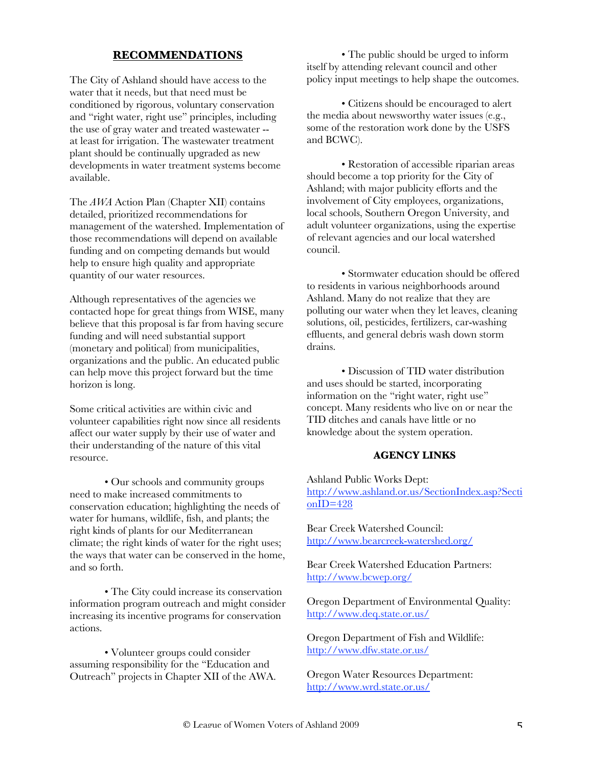## **RECOMMENDATIONS**

The City of Ashland should have access to the water that it needs, but that need must be conditioned by rigorous, voluntary conservation and "right water, right use" principles, including the use of gray water and treated wastewater - at least for irrigation. The wastewater treatment plant should be continually upgraded as new developments in water treatment systems become available.

The *AWA* Action Plan (Chapter XII) contains detailed, prioritized recommendations for management of the watershed. Implementation of those recommendations will depend on available funding and on competing demands but would help to ensure high quality and appropriate quantity of our water resources.

Although representatives of the agencies we contacted hope for great things from WISE, many believe that this proposal is far from having secure funding and will need substantial support (monetary and political) from municipalities, organizations and the public. An educated public can help move this project forward but the time horizon is long.

Some critical activities are within civic and volunteer capabilities right now since all residents affect our water supply by their use of water and their understanding of the nature of this vital resource.

• Our schools and community groups need to make increased commitments to conservation education; highlighting the needs of water for humans, wildlife, fish, and plants; the right kinds of plants for our Mediterranean climate; the right kinds of water for the right uses; the ways that water can be conserved in the home, and so forth.

• The City could increase its conservation information program outreach and might consider increasing its incentive programs for conservation actions.

• Volunteer groups could consider assuming responsibility for the "Education and Outreach" projects in Chapter XII of the AWA.

• The public should be urged to inform itself by attending relevant council and other policy input meetings to help shape the outcomes.

• Citizens should be encouraged to alert the media about newsworthy water issues (e.g., some of the restoration work done by the USFS and BCWC).

• Restoration of accessible riparian areas should become a top priority for the City of Ashland; with major publicity efforts and the involvement of City employees, organizations, local schools, Southern Oregon University, and adult volunteer organizations, using the expertise of relevant agencies and our local watershed council.

• Stormwater education should be offered to residents in various neighborhoods around Ashland. Many do not realize that they are polluting our water when they let leaves, cleaning solutions, oil, pesticides, fertilizers, car-washing effluents, and general debris wash down storm drains.

• Discussion of TID water distribution and uses should be started, incorporating information on the "right water, right use" concept. Many residents who live on or near the TID ditches and canals have little or no knowledge about the system operation.

#### **AGENCY LINKS**

Ashland Public Works Dept: http://www.ashland.or.us/SectionIndex.asp?Secti onID=428

Bear Creek Watershed Council: http://www.bearcreek-watershed.org/

Bear Creek Watershed Education Partners: http://www.bcwep.org/

Oregon Department of Environmental Quality: http://www.deq.state.or.us/

Oregon Department of Fish and Wildlife: http://www.dfw.state.or.us/

Oregon Water Resources Department: http://www.wrd.state.or.us/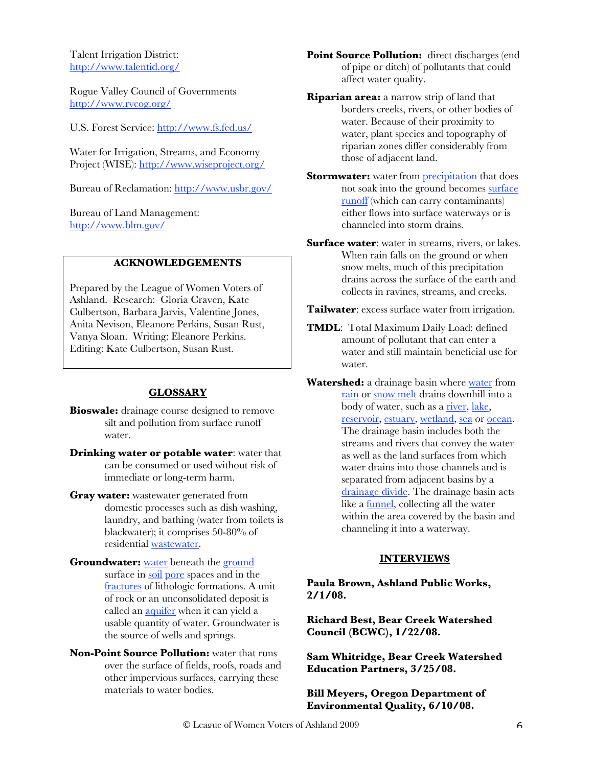Talent Irrigation District: http://www.talentid.org/

Rogue Valley Council of Governments http://www.rvcog.org/

U.S. Forest Service: http://www.fs.fed.us/

Water for Irrigation, Streams, and Economy Project (WISE): http://www.wiseproject.org/

Bureau of Reclamation: http://www.usbr.gov/

Bureau of Land Management: http://www.blm.gov/

### **ACKNOWLEDGEMENTS**

Prepared by the League of Women Voters of Ashland. Research: Gloria Craven, Kate Culbertson, Barbara Jarvis, Valentine Jones, Anita Nevison, Eleanore Perkins, Susan Rust, Vanya Sloan. Writing: Eleanore Perkins. Editing: Kate Culbertson, Susan Rust.

#### **GLOSSARY**

**Bioswale:** drainage course designed to remove silt and pollution from surface runoff water.

- **Drinking water or potable water**: water that can be consumed or used without risk of immediate or long-term harm.
- **Gray water:** wastewater generated from domestic processes such as dish washing, laundry, and bathing (water from toilets is blackwater); it comprises 50-80% of residential wastewater.
- **Groundwater:** water beneath the ground surface in soil pore spaces and in the fractures of lithologic formations. A unit of rock or an unconsolidated deposit is called an aquifer when it can yield a usable quantity of water. Groundwater is the source of wells and springs.
- **Non-Point Source Pollution:** water that runs over the surface of fields, roofs, roads and other impervious surfaces, carrying these materials to water bodies.

**Point Source Pollution:** direct discharges (end of pipe or ditch) of pollutants that could affect water quality.

**Riparian area:** a narrow strip of land that borders creeks, rivers, or other bodies of water. Because of their proximity to water, plant species and topography of riparian zones differ considerably from those of adjacent land.

**Stormwater:** water from **precipitation** that does not soak into the ground becomes surface runoff (which can carry contaminants) either flows into surface waterways or is channeled into storm drains.

**Surface water:** water in streams, rivers, or lakes. When rain falls on the ground or when snow melts, much of this precipitation drains across the surface of the earth and collects in ravines, streams, and creeks.

**Tailwater**: excess surface water from irrigation.

**TMDL**: Total Maximum Daily Load: defined amount of pollutant that can enter a water and still maintain beneficial use for water.

**Watershed:** a drainage basin where water from rain or snow melt drains downhill into a body of water, such as a river, lake, reservoir, estuary, wetland, sea or ocean. The drainage basin includes both the streams and rivers that convey the water as well as the land surfaces from which water drains into those channels and is separated from adjacent basins by a drainage divide. The drainage basin acts like a funnel, collecting all the water within the area covered by the basin and channeling it into a waterway.

### **INTERVIEWS**

### **Paula Brown, Ashland Public Works, 2/1/08.**

**Richard Best, Bear Creek Watershed Council (BCWC), 1/22/08.**

**Sam Whitridge, Bear Creek Watershed Education Partners, 3/25/08.** 

**Bill Meyers, Oregon Department of Environmental Quality, 6/10/08.**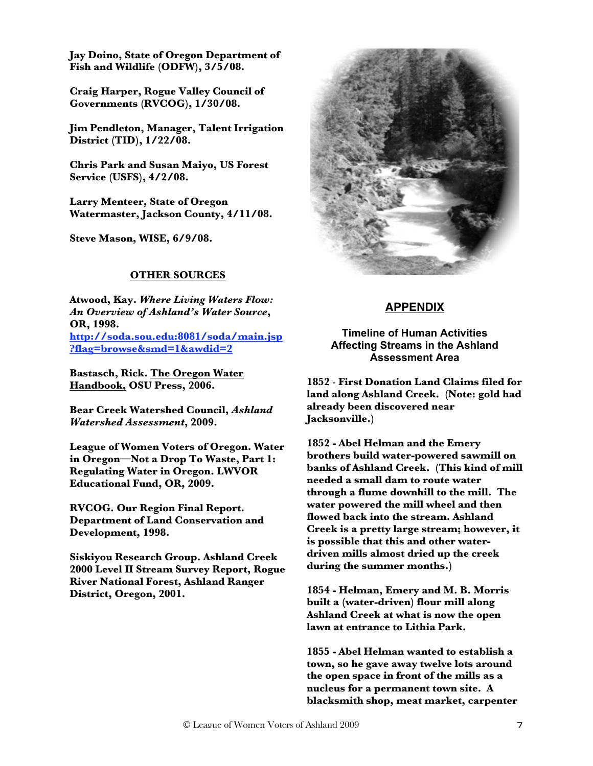**Jay Doino, State of Oregon Department of Fish and Wildlife (ODFW), 3/5/08.**

**Craig Harper, Rogue Valley Council of Governments (RVCOG), 1/30/08.**

**Jim Pendleton, Manager, Talent Irrigation District (TID), 1/22/08.**

**Chris Park and Susan Maiyo, US Forest Service (USFS), 4/2/08.**

**Larry Menteer, State of Oregon Watermaster, Jackson County, 4/11/08.**

**Steve Mason, WISE, 6/9/08.**

#### **OTHER SOURCES**

**Atwood, Kay.** *Where Living Waters Flow: An Overview of Ashland's Water Source***, OR, 1998. http://soda.sou.edu:8081/soda/main.jsp ?flag=browse&smd=1&awdid=2**

**Bastasch, Rick. The Oregon Water Handbook, OSU Press, 2006.**

**Bear Creek Watershed Council,** *Ashland Watershed Assessment***, 2009.**

**League of Women Voters of Oregon. Water in Oregon—Not a Drop To Waste, Part 1: Regulating Water in Oregon. LWVOR Educational Fund, OR, 2009.**

**RVCOG. Our Region Final Report. Department of Land Conservation and Development, 1998.**

**Siskiyou Research Group. Ashland Creek 2000 Level II Stream Survey Report, Rogue River National Forest, Ashland Ranger District, Oregon, 2001.**



### **APPENDIX**

### **Timeline of Human Activities Affecting Streams in the Ashland Assessment Area**

**1852** - **First Donation Land Claims filed for land along Ashland Creek. (Note: gold had already been discovered near Jacksonville.)** 

**1852 - Abel Helman and the Emery brothers build water-powered sawmill on banks of Ashland Creek. (This kind of mill needed a small dam to route water through a flume downhill to the mill. The water powered the mill wheel and then flowed back into the stream. Ashland Creek is a pretty large stream; however, it is possible that this and other waterdriven mills almost dried up the creek during the summer months.)** 

**1854 - Helman, Emery and M. B. Morris built a (water-driven) flour mill along Ashland Creek at what is now the open lawn at entrance to Lithia Park.** 

**1855 - Abel Helman wanted to establish a town, so he gave away twelve lots around the open space in front of the mills as a nucleus for a permanent town site. A blacksmith shop, meat market, carpenter**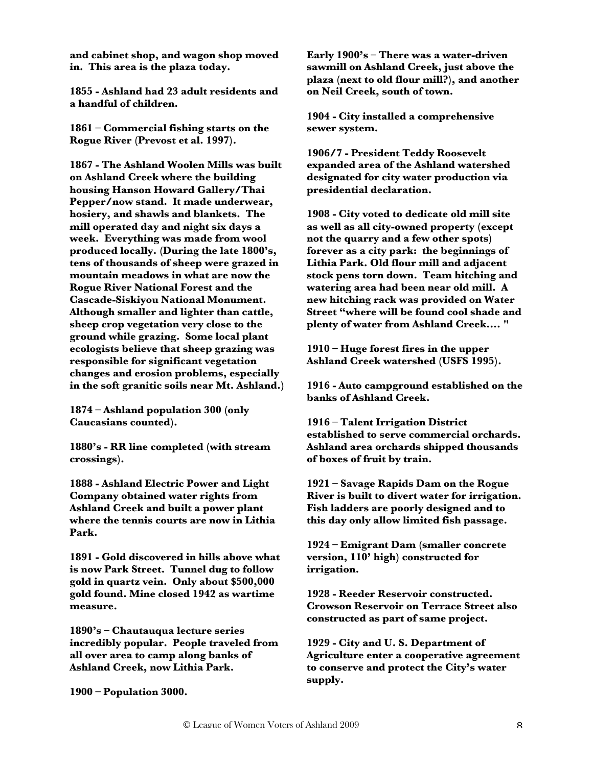**and cabinet shop, and wagon shop moved in. This area is the plaza today.** 

**1855 - Ashland had 23 adult residents and a handful of children.** 

**1861 – Commercial fishing starts on the Rogue River (Prevost et al. 1997).** 

**1867 - The Ashland Woolen Mills was built on Ashland Creek where the building housing Hanson Howard Gallery/Thai Pepper/now stand. It made underwear, hosiery, and shawls and blankets. The mill operated day and night six days a week. Everything was made from wool produced locally. (During the late 1800's, tens of thousands of sheep were grazed in mountain meadows in what are now the Rogue River National Forest and the Cascade-Siskiyou National Monument. Although smaller and lighter than cattle, sheep crop vegetation very close to the ground while grazing. Some local plant ecologists believe that sheep grazing was responsible for significant vegetation changes and erosion problems, especially in the soft granitic soils near Mt. Ashland.)** 

**1874 – Ashland population 300 (only Caucasians counted).** 

**1880's - RR line completed (with stream crossings).** 

**1888 - Ashland Electric Power and Light Company obtained water rights from Ashland Creek and built a power plant where the tennis courts are now in Lithia Park.** 

**1891 - Gold discovered in hills above what is now Park Street. Tunnel dug to follow gold in quartz vein. Only about \$500,000 gold found. Mine closed 1942 as wartime measure.**

**1890's – Chautauqua lecture series incredibly popular. People traveled from all over area to camp along banks of Ashland Creek, now Lithia Park.** 

**Early 1900's – There was a water-driven sawmill on Ashland Creek, just above the plaza (next to old flour mill?), and another on Neil Creek, south of town.** 

**1904 - City installed a comprehensive sewer system.** 

**1906/7 - President Teddy Roosevelt expanded area of the Ashland watershed designated for city water production via presidential declaration.** 

**1908 - City voted to dedicate old mill site as well as all city-owned property (except not the quarry and a few other spots) forever as a city park: the beginnings of Lithia Park. Old flour mill and adjacent stock pens torn down. Team hitching and watering area had been near old mill. A new hitching rack was provided on Water Street "where will be found cool shade and plenty of water from Ashland Creek.... "**

**1910 – Huge forest fires in the upper Ashland Creek watershed (USFS 1995).** 

**1916 - Auto campground established on the banks of Ashland Creek.** 

**1916 – Talent Irrigation District established to serve commercial orchards. Ashland area orchards shipped thousands of boxes of fruit by train.** 

**1921 – Savage Rapids Dam on the Rogue River is built to divert water for irrigation. Fish ladders are poorly designed and to this day only allow limited fish passage.**

**1924 – Emigrant Dam (smaller concrete version, 110' high) constructed for irrigation.** 

**1928 - Reeder Reservoir constructed. Crowson Reservoir on Terrace Street also constructed as part of same project.** 

**1929 - City and U. S. Department of Agriculture enter a cooperative agreement to conserve and protect the City's water supply.** 

**1900 – Population 3000.**